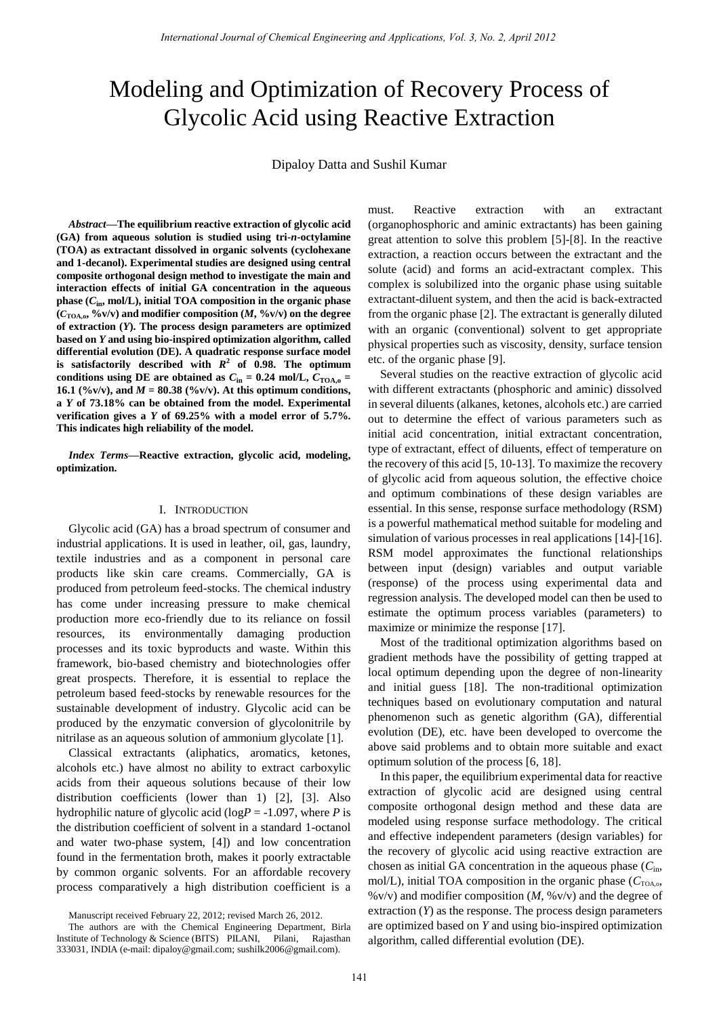# Modeling and Optimization of Recovery Process of Glycolic Acid using Reactive Extraction

Dipaloy Datta and Sushil Kumar

*Abstract***—The equilibrium reactive extraction of glycolic acid (GA) from aqueous solution is studied using tri-***n***-octylamine (TOA) as extractant dissolved in organic solvents (cyclohexane and 1-decanol). Experimental studies are designed using central composite orthogonal design method to investigate the main and interaction effects of initial GA concentration in the aqueous**  phase  $(C_{in}, \text{mol/L})$ , initial TOA composition in the organic phase  $(C_{\text{TOA},\text{o}} %{\text{O}}/V)$  and modifier composition  $(M, %{\text{O}}/V)$  on the degree **of extraction (***Y***). The process design parameters are optimized based on** *Y* **and using bio-inspired optimization algorithm, called differential evolution (DE). A quadratic response surface model**  is satisfactorily described with  $R^2$  of 0.98. The optimum conditions using DE are obtained as  $C_{\text{in}} = 0.24$  mol/L,  $C_{\text{TOA}} =$ **16.1** (%v/v), and  $M = 80.38$  (%v/v). At this optimum conditions, **a** *Y* **of 73.18% can be obtained from the model. Experimental verification gives a** *Y* **of 69.25% with a model error of 5.7%. This indicates high reliability of the model.**

*Index Terms***—Reactive extraction, glycolic acid, modeling, optimization.** 

# I. INTRODUCTION

Glycolic acid (GA) has a broad spectrum of consumer and industrial applications. It is used in leather, oil, gas, laundry, textile industries and as a component in personal care products like skin care creams. Commercially, GA is produced from petroleum feed-stocks. The chemical industry has come under increasing pressure to make chemical production more eco-friendly due to its reliance on fossil resources, its environmentally damaging production processes and its toxic byproducts and waste. Within this framework, bio-based chemistry and biotechnologies offer great prospects. Therefore, it is essential to replace the petroleum based feed-stocks by renewable resources for the sustainable development of industry. Glycolic acid can be produced by the enzymatic conversion of glycolonitrile by nitrilase as an aqueous solution of ammonium glycolate [1].

Classical extractants (aliphatics, aromatics, ketones, alcohols etc.) have almost no ability to extract carboxylic acids from their aqueous solutions because of their low distribution coefficients (lower than 1) [2], [3]. Also hydrophilic nature of glycolic acid ( $log P = -1.097$ , where *P* is the distribution coefficient of solvent in a standard 1-octanol and water two-phase system, [4]) and low concentration found in the fermentation broth, makes it poorly extractable by common organic solvents. For an affordable recovery process comparatively a high distribution coefficient is a

Manuscript received February 22, 2012; revised March 26, 2012.

must. Reactive extraction with an extractant (organophosphoric and aminic extractants) has been gaining great attention to solve this problem [5]-[8]. In the reactive extraction, a reaction occurs between the extractant and the solute (acid) and forms an acid-extractant complex. This complex is solubilized into the organic phase using suitable extractant-diluent system, and then the acid is back-extracted from the organic phase [2]. The extractant is generally diluted with an organic (conventional) solvent to get appropriate physical properties such as viscosity, density, surface tension etc. of the organic phase [9].

Several studies on the reactive extraction of glycolic acid with different extractants (phosphoric and aminic) dissolved in several diluents (alkanes, ketones, alcohols etc.) are carried out to determine the effect of various parameters such as initial acid concentration, initial extractant concentration, type of extractant, effect of diluents, effect of temperature on the recovery of this acid [5, 10-13]. To maximize the recovery of glycolic acid from aqueous solution, the effective choice and optimum combinations of these design variables are essential. In this sense, response surface methodology (RSM) is a powerful mathematical method suitable for modeling and simulation of various processes in real applications [14]-[16]. RSM model approximates the functional relationships between input (design) variables and output variable (response) of the process using experimental data and regression analysis. The developed model can then be used to estimate the optimum process variables (parameters) to maximize or minimize the response [17]. *Iterational Journal of Chemical Engineering and Applications, Vol. 2, No. 2, April 2013*<br> **Example 2013 and Optimization of Peococy Proce City and Subility the metric of Chemical Engineering and Applications is a smaller** 

Most of the traditional optimization algorithms based on gradient methods have the possibility of getting trapped at local optimum depending upon the degree of non-linearity and initial guess [18]. The non-traditional optimization techniques based on evolutionary computation and natural phenomenon such as genetic algorithm (GA), differential evolution (DE), etc. have been developed to overcome the above said problems and to obtain more suitable and exact optimum solution of the process [6, 18].

In this paper, the equilibrium experimental data for reactive extraction of glycolic acid are designed using central composite orthogonal design method and these data are modeled using response surface methodology. The critical and effective independent parameters (design variables) for the recovery of glycolic acid using reactive extraction are chosen as initial GA concentration in the aqueous phase (*C*in, mol/L), initial TOA composition in the organic phase  $(C_{\text{TOA},o}$ , %v/v) and modifier composition (*M*, %v/v) and the degree of extraction (*Y*) as the response. The process design parameters are optimized based on *Y* and using bio-inspired optimization algorithm, called differential evolution (DE).

The authors are with the Chemical Engineering Department, Birla Institute of Technology & Science (BITS) PILANI, Pilani, Rajasthan 333031, INDIA (e-mail: dipaloy@gmail.com; sushilk2006@gmail.com).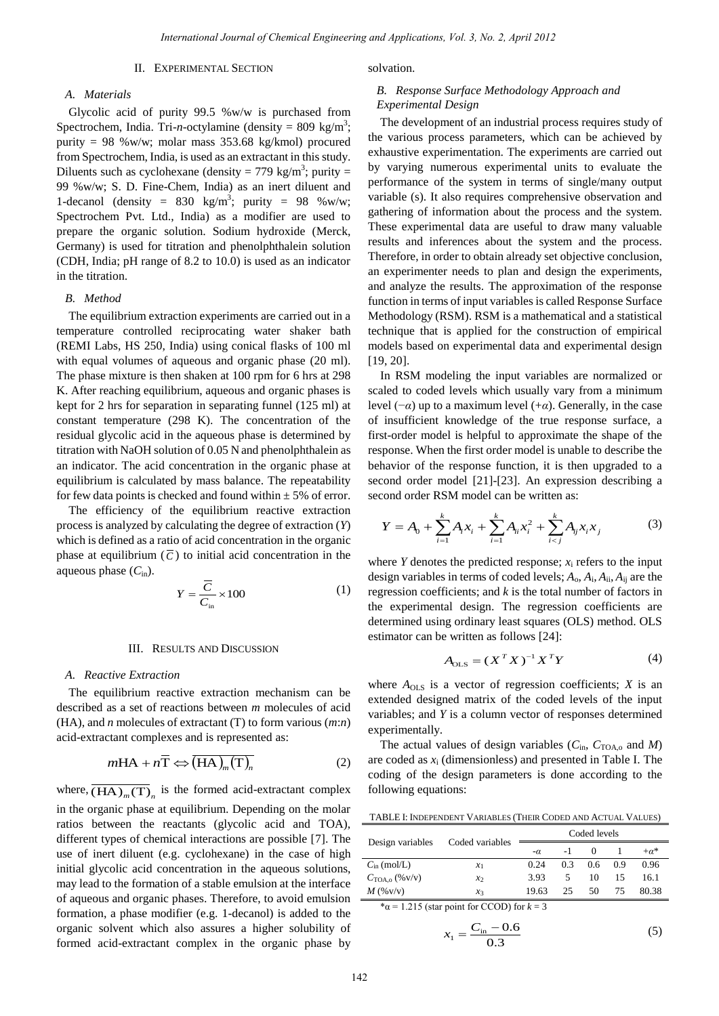# II. EXPERIMENTAL SECTION

## *A. Materials*

Glycolic acid of purity 99.5 %w/w is purchased from Spectrochem, India. Tri-*n*-octylamine (density =  $809 \text{ kg/m}^3$ ; purity = 98 %w/w; molar mass  $353.68 \text{ kg/kmol}$  procured from Spectrochem, India, is used as an extractant in this study. Diluents such as cyclohexane (density =  $779 \text{ kg/m}^3$ ; purity = 99 %w/w; S. D. Fine-Chem, India) as an inert diluent and 1-decanol (density =  $830 \text{ kg/m}^3$ ; purity =  $98 \text{ %}$ w/w; Spectrochem Pvt. Ltd., India) as a modifier are used to prepare the organic solution. Sodium hydroxide (Merck, Germany) is used for titration and phenolphthalein solution (CDH, India; pH range of 8.2 to 10.0) is used as an indicator in the titration.

## *B. Method*

The equilibrium extraction experiments are carried out in a temperature controlled reciprocating water shaker bath (REMI Labs, HS 250, India) using conical flasks of 100 ml with equal volumes of aqueous and organic phase (20 ml). The phase mixture is then shaken at 100 rpm for 6 hrs at 298 K. After reaching equilibrium, aqueous and organic phases is kept for 2 hrs for separation in separating funnel (125 ml) at constant temperature (298 K). The concentration of the residual glycolic acid in the aqueous phase is determined by titration with NaOH solution of 0.05 N and phenolphthalein as an indicator. The acid concentration in the organic phase at equilibrium is calculated by mass balance. The repeatability for few data points is checked and found within  $\pm 5\%$  of error.

The efficiency of the equilibrium reactive extraction process is analyzed by calculating the degree of extraction (*Y*) which is defined as a ratio of acid concentration in the organic phase at equilibrium  $(\overline{C})$  to initial acid concentration in the aqueous phase  $(C_{in})$ .

$$
Y = \frac{\overline{C}}{C_{\text{in}}} \times 100\tag{1}
$$

#### III. RESULTS AND DISCUSSION

#### *A. Reactive Extraction*

The equilibrium reactive extraction mechanism can be described as a set of reactions between *m* molecules of acid (HA), and *n* molecules of extractant (T) to form various (*m*:*n*) acid-extractant complexes and is represented as:

$$
mHA + n\overline{T} \Leftrightarrow (\overline{HA})_m(\overline{T})_n \tag{2}
$$

where,  $\overline{(HA)_m(T)}_n$  is the formed acid-extractant complex in the organic phase at equilibrium. Depending on the molar ratios between the reactants (glycolic acid and TOA), different types of chemical interactions are possible [7]. The use of inert diluent (e.g. cyclohexane) in the case of high initial glycolic acid concentration in the aqueous solutions, may lead to the formation of a stable emulsion at the interface of aqueous and organic phases. Therefore, to avoid emulsion formation, a phase modifier (e.g. 1-decanol) is added to the organic solvent which also assures a higher solubility of formed acid-extractant complex in the organic phase by

solvation.

# *B. Response Surface Methodology Approach and Experimental Design*

The development of an industrial process requires study of the various process parameters, which can be achieved by exhaustive experimentation. The experiments are carried out by varying numerous experimental units to evaluate the performance of the system in terms of single/many output variable (s). It also requires comprehensive observation and gathering of information about the process and the system. These experimental data are useful to draw many valuable results and inferences about the system and the process. Therefore, in order to obtain already set objective conclusion, an experimenter needs to plan and design the experiments, and analyze the results. The approximation of the response function in terms of input variables is called Response Surface Methodology (RSM). RSM is a mathematical and a statistical technique that is applied for the construction of empirical models based on experimental data and experimental design [19, 20]. Remembersh.Energy of Chemical Engineering and Applications, Yot 3, No. 2, April 2012<br>
SCPIERION SCPIERION SCPIERION SCPIERION SCPIERION SCPIERION SCPIERION SCPIERION SCPIERION SCPIERION SCPIERION SCPIERION SCPIERION SCPIE

In RSM modeling the input variables are normalized or scaled to coded levels which usually vary from a minimum level (−*α*) up to a maximum level (+*α*). Generally, in the case of insufficient knowledge of the true response surface, a first-order model is helpful to approximate the shape of the response. When the first order model is unable to describe the behavior of the response function, it is then upgraded to a second order model [21]-[23]. An expression describing a second order RSM model can be written as:

$$
Y = A_0 + \sum_{i=1}^{k} A_i x_i + \sum_{i=1}^{k} A_{ii} x_i^2 + \sum_{i < j}^{k} A_{ij} x_i x_j \tag{3}
$$

where  $Y$  denotes the predicted response;  $x_i$  refers to the input design variables in terms of coded levels; *A*o, *A*<sup>i</sup> , *A*ii, *A*ij are the regression coefficients; and *k* is the total number of factors in the experimental design. The regression coefficients are determined using ordinary least squares (OLS) method. OLS estimator can be written as follows [24]:

$$
A_{\text{OLS}} = (X^T X)^{-1} X^T Y \tag{4}
$$

where  $A_{OLS}$  is a vector of regression coefficients; *X* is an extended designed matrix of the coded levels of the input variables; and *Y* is a column vector of responses determined experimentally.

The actual values of design variables  $(C_{in}, C_{\text{TOA},o}$  and *M*) are coded as  $x_i$  (dimensionless) and presented in Table I. The coding of the design parameters is done according to the following equations:

TABLE I: INDEPENDENT VARIABLES (THEIR CODED AND ACTUAL VALUES)

|                                    | Coded variables | Coded levels |      |               |     |        |  |
|------------------------------------|-----------------|--------------|------|---------------|-----|--------|--|
| Design variables                   |                 | $-\alpha$    | $-1$ | $\theta$      |     | $+a^*$ |  |
| $C_{\text{in}}$ (mol/L)            | $x_1$           | 0.24         | 0.3  | $0.6^{\circ}$ | 0.9 | 0.96   |  |
| $C_{\text{TOA.0}} (\% \text{V/V})$ | $x_2$           | 3.93         | 5    | 10            | 15  | 16.1   |  |
| $M$ (% $v/v$ )                     | $x_3$           | 19.63        | 25   | 50            | 75  | 80.38  |  |
|                                    | .               |              |      |               |     |        |  |

 $a = 1.215$  (star point for CCOD) for  $k = 3$ 

$$
x_1 = \frac{C_{\text{in}} - 0.6}{0.3} \tag{5}
$$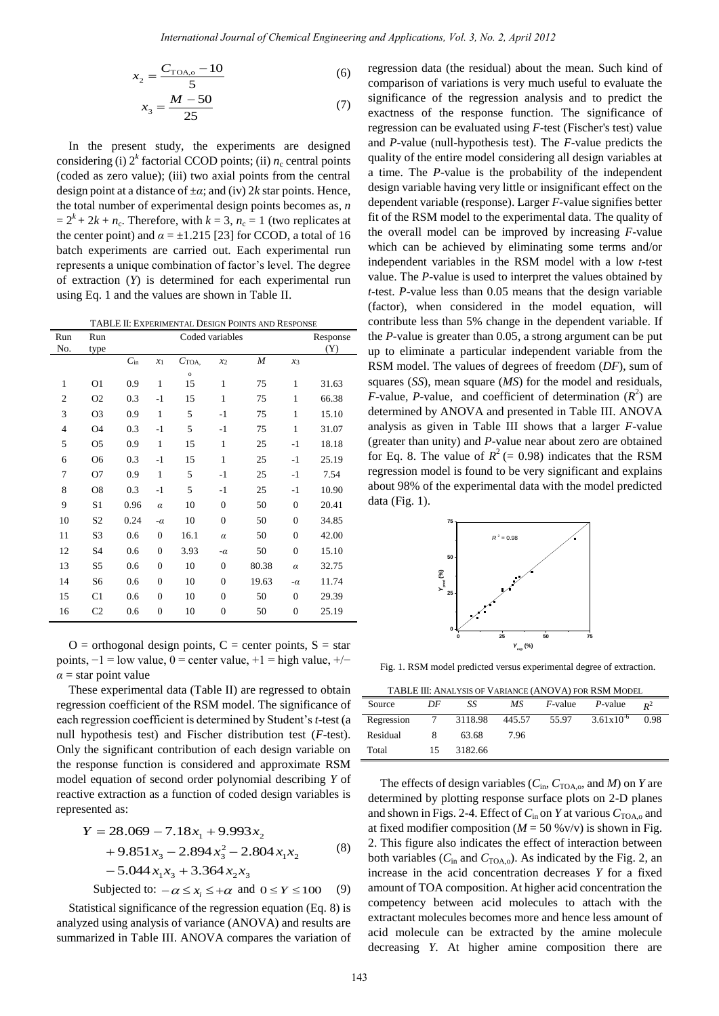$$
x_2 = \frac{C_{\text{TOA},o} - 10}{5} \tag{6}
$$

$$
x_3 = \frac{M - 50}{25} \tag{7}
$$

In the present study, the experiments are designed considering (i)  $2^k$  factorial CCOD points; (ii)  $n_c$  central points (coded as zero value); (iii) two axial points from the central design point at a distance of ±*α*; and (iv) 2*k* star points. Hence, the total number of experimental design points becomes as, *n*  $= 2<sup>k</sup> + 2k + n<sub>c</sub>$ . Therefore, with  $k = 3$ ,  $n<sub>c</sub> = 1$  (two replicates at the center point) and  $\alpha = \pm 1.215$  [23] for CCOD, a total of 16 batch experiments are carried out. Each experimental run represents a unique combination of factor's level. The degree of extraction (*Y*) is determined for each experimental run using Eq. 1 and the values are shown in Table II.

TABLE II: EXPERIMENTAL DESIGN POINTS AND RESPONSE

| Run            | Run            | Coded variables |                |                  |                |                  |                | Response |
|----------------|----------------|-----------------|----------------|------------------|----------------|------------------|----------------|----------|
| No.            | type           |                 |                |                  |                |                  |                | (Y)      |
|                |                | $C_{\rm in}$    | $x_1$          | $C_{\text{TOA}}$ | $x_2$          | $\boldsymbol{M}$ | $x_3$          |          |
| $\mathbf{1}$   | O <sub>1</sub> | 0.9             | 1              | $\circ$<br>15    | 1              | 75               | 1              | 31.63    |
| $\overline{2}$ | O <sub>2</sub> | 0.3             | $-1$           | 15               | $\mathbf{1}$   | 75               | 1              | 66.38    |
| 3              | O <sub>3</sub> | 0.9             | 1              | 5                | $-1$           | 75               | 1              | 15.10    |
| $\overline{4}$ | O4             | 0.3             | $-1$           | 5                | $-1$           | 75               | 1              | 31.07    |
| 5              | O <sub>5</sub> | 0.9             | 1              | 15               | $\mathbf{1}$   | 25               | $-1$           | 18.18    |
| 6              | O <sub>6</sub> | 0.3             | $-1$           | 15               | $\mathbf{1}$   | 25               | $-1$           | 25.19    |
| 7              | O7             | 0.9             | $\mathbf{1}$   | 5                | $-1$           | 25               | $-1$           | 7.54     |
| 8              | O <sub>8</sub> | 0.3             | $-1$           | 5                | $-1$           | 25               | $-1$           | 10.90    |
| 9              | S1             | 0.96            | $\alpha$       | 10               | $\theta$       | 50               | $\theta$       | 20.41    |
| 10             | S <sub>2</sub> | 0.24            | $-\alpha$      | 10               | $\overline{0}$ | 50               | $\overline{0}$ | 34.85    |
| 11             | S <sub>3</sub> | 0.6             | $\overline{0}$ | 16.1             | $\alpha$       | 50               | $\overline{0}$ | 42.00    |
| 12             | S4             | 0.6             | $\overline{0}$ | 3.93             | $-\alpha$      | 50               | $\overline{0}$ | 15.10    |
| 13             | S5             | 0.6             | $\overline{0}$ | 10               | $\theta$       | 80.38            | $\alpha$       | 32.75    |
| 14             | S6             | 0.6             | $\overline{0}$ | 10               | $\overline{0}$ | 19.63            | $-\alpha$      | 11.74    |
| 15             | C1             | 0.6             | $\overline{0}$ | 10               | $\theta$       | 50               | $\theta$       | 29.39    |
| 16             | C <sub>2</sub> | 0.6             | $\overline{0}$ | 10               | $\overline{0}$ | 50               | $\overline{0}$ | 25.19    |

 $O =$  orthogonal design points,  $C =$  center points,  $S =$  star points,  $-1 =$ low value,  $0 =$ center value,  $+1 =$ high value,  $+/ \alpha$  = star point value

These experimental data (Table II) are regressed to obtain regression coefficient of the RSM model. The significance of each regression coefficient is determined by Student's *t*-test (a null hypothesis test) and Fischer distribution test (*F*-test). Only the significant contribution of each design variable on the response function is considered and approximate RSM model equation of second order polynomial describing *Y* of reactive extraction as a function of coded design variables is represented as:

$$
Y = 28.069 - 7.18x_1 + 9.993x_2
$$
  
+ 9.851x<sub>3</sub> - 2.894x<sub>3</sub><sup>2</sup> - 2.804x<sub>1</sub>x<sub>2</sub> (8)  
- 5.044x<sub>1</sub>x<sub>3</sub> + 3.364x<sub>2</sub>x<sub>3</sub>

Subjected to:  $-\alpha \le x_i \le +\alpha$  and  $0 \le Y \le 100$ (9)

Statistical significance of the regression equation (Eq. 8) is analyzed using analysis of variance (ANOVA) and results are summarized in Table III. ANOVA compares the variation of

regression data (the residual) about the mean. Such kind of comparison of variations is very much useful to evaluate the significance of the regression analysis and to predict the exactness of the response function. The significance of regression can be evaluated using *F*-test (Fischer's test) value and *P*-value (null-hypothesis test). The *F*-value predicts the quality of the entire model considering all design variables at a time. The *P*-value is the probability of the independent design variable having very little or insignificant effect on the dependent variable (response). Larger *F*-value signifies better fit of the RSM model to the experimental data. The quality of the overall model can be improved by increasing *F*-value which can be achieved by eliminating some terms and/or independent variables in the RSM model with a low *t*-test value. The *P*-value is used to interpret the values obtained by *t*-test. *P*-value less than 0.05 means that the design variable (factor), when considered in the model equation, will contribute less than 5% change in the dependent variable. If the *P*-value is greater than 0.05, a strong argument can be put up to eliminate a particular independent variable from the RSM model. The values of degrees of freedom (*DF*), sum of squares (*SS*), mean square (*MS*) for the model and residuals, *F*-value, *P*-value, and coefficient of determination  $(R^2)$  are determined by ANOVA and presented in Table III. ANOVA analysis as given in Table III shows that a larger *F*-value (greater than unity) and *P*-value near about zero are obtained for Eq. 8. The value of  $R^2$  (= 0.98) indicates that the RSM regression model is found to be very significant and explains about 98% of the experimental data with the model predicted data (Fig. 1). Remembers of Generational Journal of Generational Journal of the Chemical Solution ( $C_{\text{TPA}}$ , -1 Or Equipsion data (6) Equipsion data the column of Chemical Boundary (1) a series and Contents of Chemical Boundary (1) a



Fig. 1. RSM model predicted versus experimental degree of extraction.

| TABLE III: ANALYSIS OF VARIANCE (ANOVA) FOR RSM MODEL |
|-------------------------------------------------------|
|-------------------------------------------------------|

| Source     | DF  | SS        | MS     |       | <i>F</i> -value <i>P</i> -value | $\mathbf{p}^2$ |  |  |
|------------|-----|-----------|--------|-------|---------------------------------|----------------|--|--|
| Regression |     | 7 3118.98 | 445.57 | 55.97 | $3.61x10^{-6}$                  | 0.98           |  |  |
| Residual   | 8   | 63.68     | -7.96  |       |                                 |                |  |  |
| Total      | 15. | 3182.66   |        |       |                                 |                |  |  |

The effects of design variables  $(C_{\text{in}}, C_{\text{TOA},o}, \text{and } M)$  on *Y* are determined by plotting response surface plots on 2-D planes and shown in Figs. 2-4. Effect of  $C_{in}$  on *Y* at various  $C_{\text{TOA},o}$  and at fixed modifier composition  $(M = 50 \text{ %v/v})$  is shown in Fig. 2. This figure also indicates the effect of interaction between both variables  $(C_{in}$  and  $C_{TOA, o}$ ). As indicated by the Fig. 2, an increase in the acid concentration decreases *Y* for a fixed amount of TOA composition. At higher acid concentration the competency between acid molecules to attach with the extractant molecules becomes more and hence less amount of acid molecule can be extracted by the amine molecule decreasing *Y*. At higher amine composition there are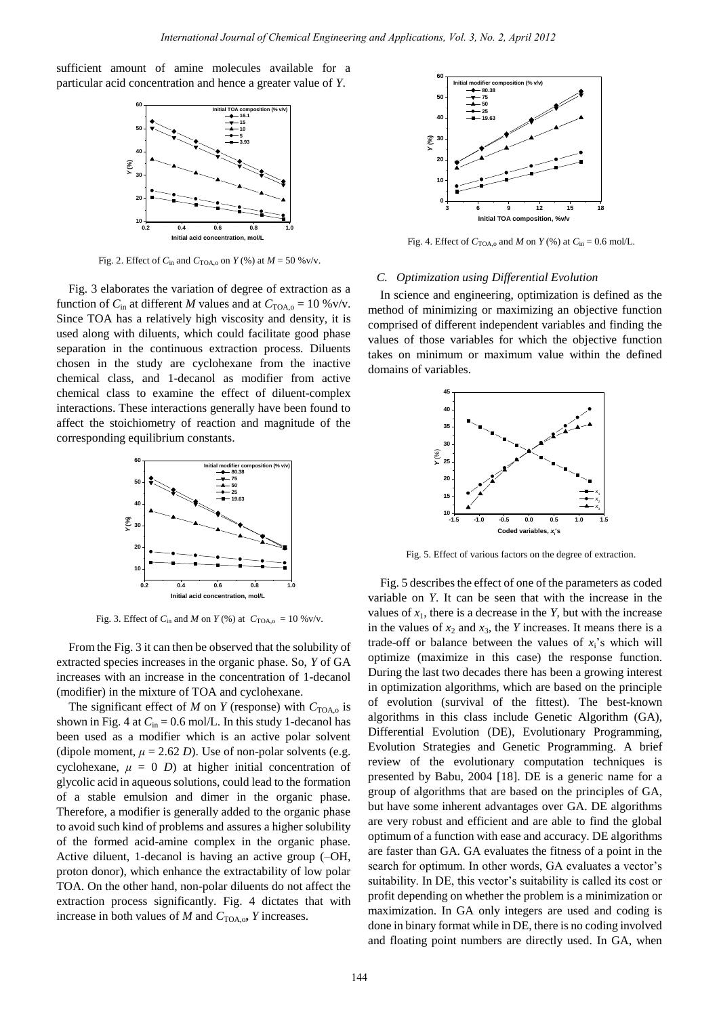sufficient amount of amine molecules available for a particular acid concentration and hence a greater value of *Y*.



Fig. 2. Effect of  $C_{\text{in}}$  and  $C_{\text{TOA},\text{o}}$  on  $Y$  (%) at  $M = 50$  %v/v.

Fig. 3 elaborates the variation of degree of extraction as a function of  $C_{\text{in}}$  at different *M* values and at  $C_{\text{TOA},o} = 10 \% \text{v/v}$ . Since TOA has a relatively high viscosity and density, it is used along with diluents, which could facilitate good phase separation in the continuous extraction process. Diluents chosen in the study are cyclohexane from the inactive chemical class, and 1-decanol as modifier from active chemical class to examine the effect of diluent-complex interactions. These interactions generally have been found to affect the stoichiometry of reaction and magnitude of the corresponding equilibrium constants.



Fig. 3. Effect of  $C_{in}$  and *M* on  $Y$  (%) at  $C_{TOA, o} = 10 \% v/v$ .

From the Fig. 3 it can then be observed that the solubility of extracted species increases in the organic phase. So, *Y* of GA increases with an increase in the concentration of 1-decanol (modifier) in the mixture of TOA and cyclohexane.

The significant effect of *M* on *Y* (response) with  $C_{\text{TOA},o}$  is shown in Fig. 4 at  $C_{\text{in}} = 0.6$  mol/L. In this study 1-decanol has been used as a modifier which is an active polar solvent (dipole moment,  $\mu = 2.62$  *D*). Use of non-polar solvents (e.g. cyclohexane,  $\mu = 0$  *D*) at higher initial concentration of glycolic acid in aqueous solutions, could lead to the formation of a stable emulsion and dimer in the organic phase. Therefore, a modifier is generally added to the organic phase to avoid such kind of problems and assures a higher solubility of the formed acid-amine complex in the organic phase. Active diluent, 1-decanol is having an active group (–OH, proton donor), which enhance the extractability of low polar TOA. On the other hand, non-polar diluents do not affect the extraction process significantly. Fig. 4 dictates that with increase in both values of  $M$  and  $C_{\text{TOA},o}$ ,  $Y$  increases.



Fig. 4. Effect of  $C_{\text{TOA},\text{o}}$  and *M* on *Y* (%) at  $C_{\text{in}} = 0.6$  mol/L.

## *C. Optimization using Differential Evolution*

In science and engineering, optimization is defined as the method of minimizing or maximizing an objective function comprised of different independent variables and finding the values of those variables for which the objective function takes on minimum or maximum value within the defined domains of variables.



Fig. 5. Effect of various factors on the degree of extraction.

Fig. 5 describes the effect of one of the parameters as coded variable on *Y*. It can be seen that with the increase in the values of  $x_1$ , there is a decrease in the *Y*, but with the increase in the values of  $x_2$  and  $x_3$ , the *Y* increases. It means there is a trade-off or balance between the values of  $x_i$ 's which will optimize (maximize in this case) the response function. During the last two decades there has been a growing interest in optimization algorithms, which are based on the principle of evolution (survival of the fittest). The best-known algorithms in this class include Genetic Algorithm (GA), Differential Evolution (DE), Evolutionary Programming, Evolution Strategies and Genetic Programming. A brief review of the evolutionary computation techniques is presented by Babu, 2004 [18]. DE is a generic name for a group of algorithms that are based on the principles of GA, but have some inherent advantages over GA. DE algorithms are very robust and efficient and are able to find the global optimum of a function with ease and accuracy. DE algorithms are faster than GA. GA evaluates the fitness of a point in the search for optimum. In other words, GA evaluates a vector's suitability. In DE, this vector's suitability is called its cost or profit depending on whether the problem is a minimization or maximization. In GA only integers are used and coding is done in binary format while in DE, there is no coding involved and floating point numbers are directly used. In GA, when Hence the contract of Chemical Engineering and Applications, Fot, 3, No. 2, April 2012<br> **Example 144 International Action Contract Contract of Contract Contract Contract Contract Contract Contract Contract Contract Cont**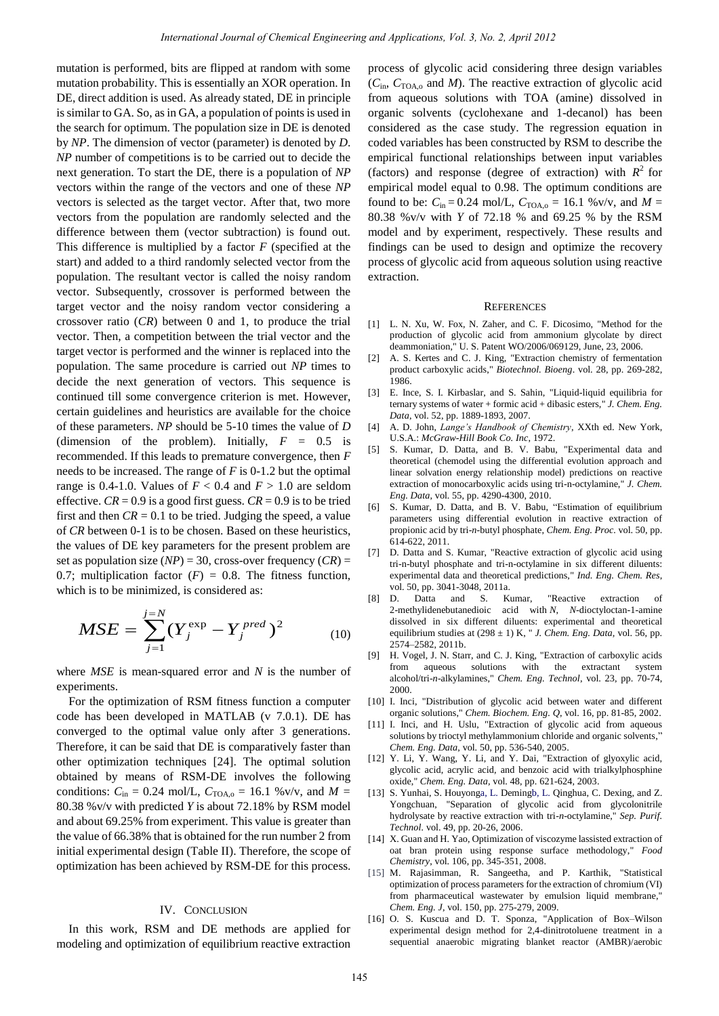mutation is performed, bits are flipped at random with some mutation probability. This is essentially an XOR operation. In DE, direct addition is used. As already stated, DE in principle is similar to GA. So, as in GA, a population of points is used in the search for optimum. The population size in DE is denoted by *NP*. The dimension of vector (parameter) is denoted by *D*. *NP* number of competitions is to be carried out to decide the next generation. To start the DE, there is a population of *NP* vectors within the range of the vectors and one of these *NP* vectors is selected as the target vector. After that, two more vectors from the population are randomly selected and the difference between them (vector subtraction) is found out. This difference is multiplied by a factor *F* (specified at the start) and added to a third randomly selected vector from the population. The resultant vector is called the noisy random vector. Subsequently, crossover is performed between the target vector and the noisy random vector considering a crossover ratio (*CR*) between 0 and 1, to produce the trial vector. Then, a competition between the trial vector and the target vector is performed and the winner is replaced into the population. The same procedure is carried out *NP* times to decide the next generation of vectors. This sequence is continued till some convergence criterion is met. However, certain guidelines and heuristics are available for the choice of these parameters. *NP* should be 5-10 times the value of *D* (dimension of the problem). Initially,  $F = 0.5$  is recommended. If this leads to premature convergence, then *F* needs to be increased. The range of *F* is 0-1.2 but the optimal range is 0.4-1.0. Values of  $F < 0.4$  and  $F > 1.0$  are seldom effective.  $CR = 0.9$  is a good first guess.  $CR = 0.9$  is to be tried first and then  $CR = 0.1$  to be tried. Judging the speed, a value of *CR* between 0-1 is to be chosen. Based on these heuristics, the values of DE key parameters for the present problem are set as population size  $(NP) = 30$ , cross-over frequency  $(CR) =$ 0.7; multiplication factor  $(F) = 0.8$ . The fitness function, which is to be minimized, is considered as: Remembering of Chemical Engineering and Applications, Vol. 3, No. 2, April 2013<br>
1) bits are flipped a matedom with some process of glycolic acid considering the<br>
1) bits are filmed a matedom with some process of glycolic

$$
MSE = \sum_{j=1}^{j=N} (Y_j^{\exp} - Y_j^{\text{pred}})^2
$$
 (10)

where *MSE* is mean-squared error and *N* is the number of experiments.

For the optimization of RSM fitness function a computer code has been developed in MATLAB (v 7.0.1). DE has converged to the optimal value only after 3 generations. Therefore, it can be said that DE is comparatively faster than other optimization techniques [24]. The optimal solution obtained by means of RSM-DE involves the following conditions:  $C_{\text{in}} = 0.24 \text{ mol/L}$ ,  $C_{\text{TOA},o} = 16.1 \text{ %v/v}$ , and  $M =$ 80.38 %v/v with predicted *Y* is about 72.18% by RSM model and about 69.25% from experiment. This value is greater than the value of 66.38% that is obtained for the run number 2 from initial experimental design (Table II). Therefore, the scope of optimization has been achieved by RSM-DE for this process.

### IV. CONCLUSION

In this work, RSM and DE methods are applied for modeling and optimization of equilibrium reactive extraction

process of glycolic acid considering three design variables  $(C_{in}, C_{\text{TOA},o}$  and *M*). The reactive extraction of glycolic acid from aqueous solutions with TOA (amine) dissolved in organic solvents (cyclohexane and 1-decanol) has been considered as the case study. The regression equation in coded variables has been constructed by RSM to describe the empirical functional relationships between input variables (factors) and response (degree of extraction) with  $R^2$  for empirical model equal to 0.98. The optimum conditions are found to be:  $C_{\text{in}} = 0.24 \text{ mol/L}$ ,  $C_{\text{TOA},o} = 16.1 \text{ %v/v}$ , and  $M =$ 80.38 %v/v with *Y* of 72.18 % and 69.25 % by the RSM model and by experiment, respectively. These results and findings can be used to design and optimize the recovery process of glycolic acid from aqueous solution using reactive extraction.

#### **REFERENCES**

- [1] L. N. Xu, W. Fox, N. Zaher, and C. F. Dicosimo, "Method for the production of glycolic acid from ammonium glycolate by direct deammoniation," U. S. Patent WO/2006/069129, June, 23, 2006.
- [2] A. S. Kertes and C. J. King, "Extraction chemistry of fermentation product carboxylic acids," *Biotechnol. Bioeng*. vol. 28, pp. 269-282, 1986.
- [3] E. Ince, S. I. Kirbaslar, and S. Sahin, "Liquid-liquid equilibria for ternary systems of water + formic acid + dibasic esters," *J. Chem. Eng. Data*, vol. 52, pp. 1889-1893, 2007.
- [4] A. D. John, *Lange's Handbook of Chemistry*, XXth ed. New York, U.S.A.: *McGraw-Hill Book Co. Inc*, 1972.
- [5] S. Kumar, D. Datta, and B. V. Babu, "Experimental data and theoretical (chemodel using the differential evolution approach and linear solvation energy relationship model) predictions on reactive extraction of monocarboxylic acids using tri-n-octylamine," *J. Chem. Eng. Data,* vol. 55, pp. 4290-4300, 2010.
- [6] S. Kumar, D. Datta, and B. V. Babu, "Estimation of equilibrium parameters using differential evolution in reactive extraction of propionic acid by tri-*n*-butyl phosphate, *Chem. Eng. Proc.* vol. 50, pp. 614-622, 2011.
- [7] D. Datta and S. Kumar, "Reactive extraction of glycolic acid using tri-n-butyl phosphate and tri-n-octylamine in six different diluents: experimental data and theoretical predictions," *Ind. Eng. Chem. Res*, vol. 50, pp. 3041-3048, 2011a.
- [8] D. Datta and S. Kumar, "Reactive extraction of 2-methylidenebutanedioic acid with *N*, *N*-dioctyloctan-1-amine dissolved in six different diluents: experimental and theoretical equilibrium studies at (298 ± 1) K, " *J. Chem. Eng. Data,* vol. 56, pp. 2574–2582, 2011b.
- [9] H. Vogel, J. N. Starr, and C. J. King, "Extraction of carboxylic acids from aqueous solutions with the extractant system alcohol/tri-*n*-alkylamines," *Chem. Eng. Technol*, vol. 23, pp. 70-74, 2000.
- [10] I. Inci, "Distribution of glycolic acid between water and different organic solutions," *Chem. Biochem. Eng. Q*, vol. 16, pp. 81-85, 2002.
- [11] I. Inci, and H. Uslu, "Extraction of glycolic acid from aqueous solutions by trioctyl methylammonium chloride and organic solvents," *Chem. Eng. Data,* vol. 50, pp. 536-540, 2005.
- [12] Y. Li, Y. Wang, Y. Li, and Y. Dai, "Extraction of glyoxylic acid, glycolic acid, acrylic acid, and benzoic acid with trialkylphosphine oxide," *Chem. Eng. Data,* vol. 48, pp. 621-624, 2003.
- [13] S. Yunhai, S. Houyonga, L. Demingb, L. Qinghua, C. Dexing, and Z. Yongchuan, "Separation of glycolic acid from glycolonitrile hydrolysate by reactive extraction with tri-*n*-octylamine," *Sep. Purif. Technol.* vol. 49, pp. 20-26, 2006.
- [14] X. Guan and H. Yao, Optimization of viscozyme lassisted extraction of oat bran protein using response surface methodology," *Food Chemistry*, vol. 106, pp. 345-351, 2008.
- [15] M. Rajasimman, R. Sangeetha, and P. Karthik, "Statistical optimization of process parameters for the extraction of chromium (VI) from pharmaceutical wastewater by emulsion liquid membrane," *Chem. Eng. J*, vol. 150, pp. 275-279, 2009.
- [16] O. S. Kuscua and D. T. Sponza, "Application of Box–Wilson experimental design method for 2,4-dinitrotoluene treatment in a sequential anaerobic migrating blanket reactor (AMBR)/aerobic